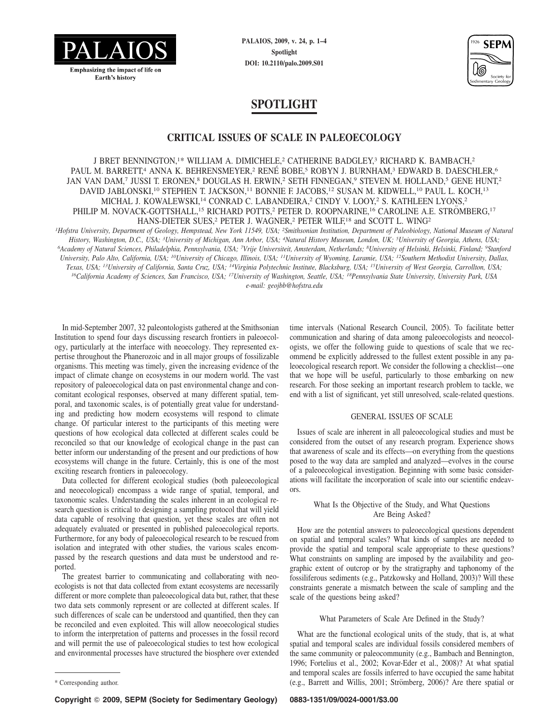

**PALAIOS, 2009, v. 24, p. 1–4 Spotlight DOI: 10.2110/palo.2009.S01**



# **SPOTLIGHT**

# **CRITICAL ISSUES OF SCALE IN PALEOECOLOGY**

J BRET BENNINGTON,<sup>1\*</sup> WILLIAM A. DIMICHELE,<sup>2</sup> CATHERINE BADGLEY,<sup>3</sup> RICHARD K. BAMBACH,<sup>2</sup> PAUL M. BARRETT,<sup>4</sup> ANNA K. BEHRENSMEYER,<sup>2</sup> RENÉ BOBE,<sup>5</sup> ROBYN J. BURNHAM,<sup>3</sup> EDWARD B. DAESCHLER,<sup>6</sup> JAN VAN DAM,7 JUSSI T. ERONEN,8 DOUGLAS H. ERWIN,2 SETH FINNEGAN,9 STEVEN M. HOLLAND,5 GENE HUNT,2 DAVID JABLONSKI,<sup>10</sup> STEPHEN T. JACKSON,<sup>11</sup> BONNIE F. JACOBS,<sup>12</sup> SUSAN M. KIDWELL,<sup>10</sup> PAUL L. KOCH,<sup>13</sup> MICHAL J. KOWALEWSKI,<sup>14</sup> CONRAD C. LABANDEIRA,<sup>2</sup> CINDY V. LOOY,<sup>2</sup> S. KATHLEEN LYONS,<sup>2</sup> PHILIP M. NOVACK-GOTTSHALL,<sup>15</sup> RICHARD POTTS,<sup>2</sup> PETER D. ROOPNARINE,<sup>16</sup> CAROLINE A.E. STRÖMBERG,<sup>17</sup> HANS-DIETER SUES,<sup>2</sup> PETER J. WAGNER,<sup>2</sup> PETER WILF,<sup>18</sup> and SCOTT L. WING<sup>2</sup>

*1Hofstra University, Department of Geology, Hempstead, New York 11549, USA; 2Smithsonian Institution, Department of Paleobiology, National Museum of Natural History, Washington, D.C., USA; 3University of Michigan, Ann Arbor, USA; 4Natural History Museum, London, UK; 5University of Georgia, Athens, USA; 6Academy of Natural Sciences, Philadelphia, Pennsylvania, USA; 7Vrije Universiteit, Amsterdam, Netherlands; 8University of Helsinki, Helsinki, Finland; 9Stanford University, Palo Alto, California, USA; 10University of Chicago, Illinois, USA; 11University of Wyoming, Laramie, USA; 12Southern Methodist University, Dallas, Texas, USA; 13University of California, Santa Cruz, USA; 14Virginia Polytechnic Institute, Blacksburg, USA; 15University of West Georgia, Carrollton, USA; 16California Academy of Sciences, San Francisco, USA; 17University of Washington, Seattle, USA; 18Pennsylvania State University, University Park, USA e-mail: geojbb@hofstra.edu*

In mid-September 2007, 32 paleontologists gathered at the Smithsonian Institution to spend four days discussing research frontiers in paleoecology, particularly at the interface with neoecology. They represented expertise throughout the Phanerozoic and in all major groups of fossilizable organisms. This meeting was timely, given the increasing evidence of the impact of climate change on ecosystems in our modern world. The vast repository of paleoecological data on past environmental change and concomitant ecological responses, observed at many different spatial, temporal, and taxonomic scales, is of potentially great value for understanding and predicting how modern ecosystems will respond to climate change. Of particular interest to the participants of this meeting were questions of how ecological data collected at different scales could be reconciled so that our knowledge of ecological change in the past can better inform our understanding of the present and our predictions of how ecosystems will change in the future. Certainly, this is one of the most exciting research frontiers in paleoecology.

Data collected for different ecological studies (both paleoecological and neoecological) encompass a wide range of spatial, temporal, and taxonomic scales. Understanding the scales inherent in an ecological research question is critical to designing a sampling protocol that will yield data capable of resolving that question, yet these scales are often not adequately evaluated or presented in published paleoecological reports. Furthermore, for any body of paleoecological research to be rescued from isolation and integrated with other studies, the various scales encompassed by the research questions and data must be understood and reported.

The greatest barrier to communicating and collaborating with neoecologists is not that data collected from extant ecosystems are necessarily different or more complete than paleoecological data but, rather, that these two data sets commonly represent or are collected at different scales. If such differences of scale can be understood and quantified, then they can be reconciled and even exploited. This will allow neoecological studies to inform the interpretation of patterns and processes in the fossil record and will permit the use of paleoecological studies to test how ecological and environmental processes have structured the biosphere over extended time intervals (National Research Council, 2005). To facilitate better communication and sharing of data among paleoecologists and neoecologists, we offer the following guide to questions of scale that we recommend be explicitly addressed to the fullest extent possible in any paleoecological research report. We consider the following a checklist—one that we hope will be useful, particularly to those embarking on new research. For those seeking an important research problem to tackle, we end with a list of significant, yet still unresolved, scale-related questions.

#### GENERAL ISSUES OF SCALE

Issues of scale are inherent in all paleoecological studies and must be considered from the outset of any research program. Experience shows that awareness of scale and its effects—on everything from the questions posed to the way data are sampled and analyzed—evolves in the course of a paleoecological investigation. Beginning with some basic considerations will facilitate the incorporation of scale into our scientific endeavors.

## What Is the Objective of the Study, and What Questions Are Being Asked?

How are the potential answers to paleoecological questions dependent on spatial and temporal scales? What kinds of samples are needed to provide the spatial and temporal scale appropriate to these questions? What constraints on sampling are imposed by the availability and geographic extent of outcrop or by the stratigraphy and taphonomy of the fossiliferous sediments (e.g., Patzkowsky and Holland, 2003)? Will these constraints generate a mismatch between the scale of sampling and the scale of the questions being asked?

#### What Parameters of Scale Are Defined in the Study?

What are the functional ecological units of the study, that is, at what spatial and temporal scales are individual fossils considered members of the same community or paleocommunity (e.g., Bambach and Bennington, 1996; Fortelius et al., 2002; Kovar-Eder et al., 2008)? At what spatial and temporal scales are fossils inferred to have occupied the same habitat (e.g., Barrett and Willis, 2001; Strömberg, 2006)? Are there spatial or

<sup>\*</sup> Corresponding author.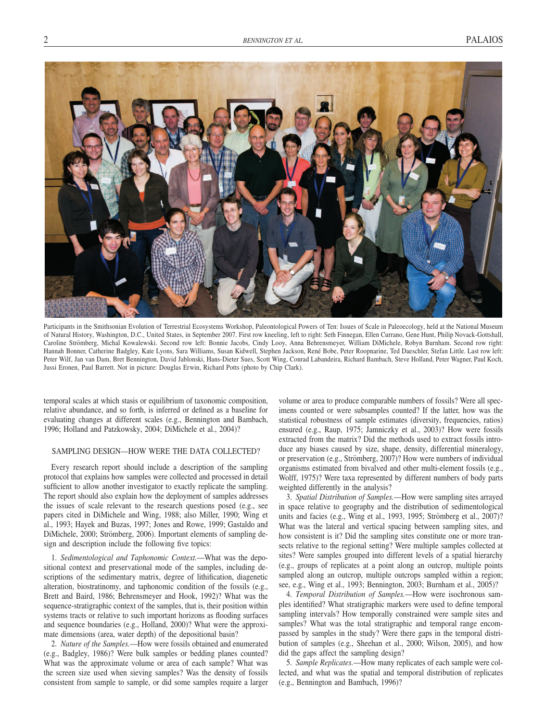

Participants in the Smithsonian Evolution of Terrestrial Ecosystems Workshop, Paleontological Powers of Ten: Issues of Scale in Paleoecology, held at the National Museum of Natural History, Washington, D.C., United States, in September 2007. First row kneeling, left to right: Seth Finnegan, Ellen Currano, Gene Hunt, Philip Novack-Gottshall, Caroline Strömberg, Michal Kowalewski. Second row left: Bonnie Jacobs, Cindy Looy, Anna Behrensmeyer, William DiMichele, Robyn Burnham. Second row right: Hannah Bonner, Catherine Badgley, Kate Lyons, Sara Williams, Susan Kidwell, Stephen Jackson, Rene´ Bobe, Peter Roopnarine, Ted Daeschler, Stefan Little. Last row left: Peter Wilf, Jan van Dam, Bret Bennington, David Jablonski, Hans-Dieter Sues, Scott Wing, Conrad Labandeira, Richard Bambach, Steve Holland, Peter Wagner, Paul Koch, Jussi Eronen, Paul Barrett. Not in picture: Douglas Erwin, Richard Potts (photo by Chip Clark).

temporal scales at which stasis or equilibrium of taxonomic composition, relative abundance, and so forth, is inferred or defined as a baseline for evaluating changes at different scales (e.g., Bennington and Bambach, 1996; Holland and Patzkowsky, 2004; DiMichele et al., 2004)?

# SAMPLING DESIGN—HOW WERE THE DATA COLLECTED?

Every research report should include a description of the sampling protocol that explains how samples were collected and processed in detail sufficient to allow another investigator to exactly replicate the sampling. The report should also explain how the deployment of samples addresses the issues of scale relevant to the research questions posed (e.g., see papers cited in DiMichele and Wing, 1988; also Miller, 1990; Wing et al., 1993; Hayek and Buzas, 1997; Jones and Rowe, 1999; Gastaldo and DiMichele, 2000; Strömberg, 2006). Important elements of sampling design and description include the following five topics:

1. *Sedimentological and Taphonomic Context.*—What was the depositional context and preservational mode of the samples, including descriptions of the sedimentary matrix, degree of lithification, diagenetic alteration, biostratinomy, and taphonomic condition of the fossils (e.g., Brett and Baird, 1986; Behrensmeyer and Hook, 1992)? What was the sequence-stratigraphic context of the samples, that is, their position within systems tracts or relative to such important horizons as flooding surfaces and sequence boundaries (e.g., Holland, 2000)? What were the approximate dimensions (area, water depth) of the depositional basin?

2. *Nature of the Samples.*—How were fossils obtained and enumerated (e.g., Badgley, 1986)? Were bulk samples or bedding planes counted? What was the approximate volume or area of each sample? What was the screen size used when sieving samples? Was the density of fossils consistent from sample to sample, or did some samples require a larger volume or area to produce comparable numbers of fossils? Were all specimens counted or were subsamples counted? If the latter, how was the statistical robustness of sample estimates (diversity, frequencies, ratios) ensured (e.g., Raup, 1975; Jamniczky et al., 2003)? How were fossils extracted from the matrix? Did the methods used to extract fossils introduce any biases caused by size, shape, density, differential mineralogy, or preservation (e.g., Strömberg, 2007)? How were numbers of individual organisms estimated from bivalved and other multi-element fossils (e.g., Wolff, 1975)? Were taxa represented by different numbers of body parts weighted differently in the analysis?

3. *Spatial Distribution of Samples.*—How were sampling sites arrayed in space relative to geography and the distribution of sedimentological units and facies (e.g., Wing et al., 1993, 1995; Strömberg et al., 2007)? What was the lateral and vertical spacing between sampling sites, and how consistent is it? Did the sampling sites constitute one or more transects relative to the regional setting? Were multiple samples collected at sites? Were samples grouped into different levels of a spatial hierarchy (e.g., groups of replicates at a point along an outcrop, multiple points sampled along an outcrop, multiple outcrops sampled within a region; see, e.g., Wing et al., 1993; Bennington, 2003; Burnham et al., 2005)?

4. *Temporal Distribution of Samples.*—How were isochronous samples identified? What stratigraphic markers were used to define temporal sampling intervals? How temporally constrained were sample sites and samples? What was the total stratigraphic and temporal range encompassed by samples in the study? Were there gaps in the temporal distribution of samples (e.g., Sheehan et al., 2000; Wilson, 2005), and how did the gaps affect the sampling design?

5. *Sample Replicates.*—How many replicates of each sample were collected, and what was the spatial and temporal distribution of replicates (e.g., Bennington and Bambach, 1996)?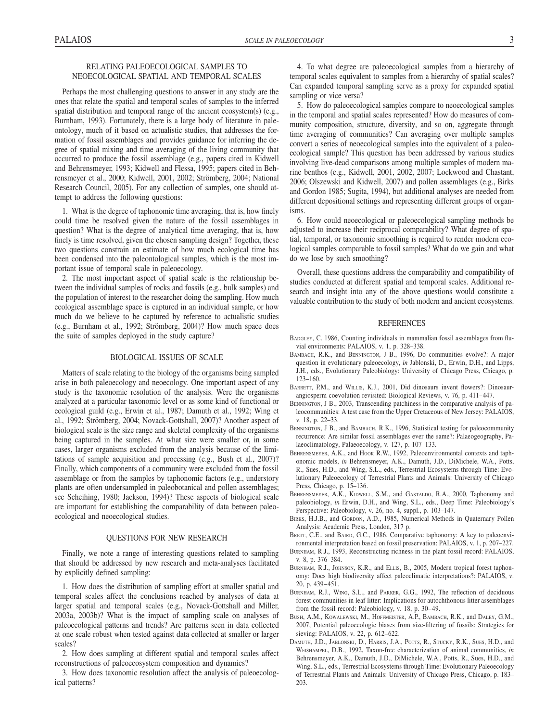## RELATING PALEOECOLOGICAL SAMPLES TO NEOECOLOGICAL SPATIAL AND TEMPORAL SCALES

Perhaps the most challenging questions to answer in any study are the ones that relate the spatial and temporal scales of samples to the inferred spatial distribution and temporal range of the ancient ecosystem(s) (e.g., Burnham, 1993). Fortunately, there is a large body of literature in paleontology, much of it based on actualistic studies, that addresses the formation of fossil assemblages and provides guidance for inferring the degree of spatial mixing and time averaging of the living community that occurred to produce the fossil assemblage (e.g., papers cited in Kidwell and Behrensmeyer, 1993; Kidwell and Flessa, 1995; papers cited in Behrensmeyer et al., 2000; Kidwell, 2001, 2002; Strömberg, 2004; National Research Council, 2005). For any collection of samples, one should attempt to address the following questions:

1. What is the degree of taphonomic time averaging, that is, how finely could time be resolved given the nature of the fossil assemblages in question? What is the degree of analytical time averaging, that is, how finely is time resolved, given the chosen sampling design? Together, these two questions constrain an estimate of how much ecological time has been condensed into the paleontological samples, which is the most important issue of temporal scale in paleoecology.

2. The most important aspect of spatial scale is the relationship between the individual samples of rocks and fossils (e.g., bulk samples) and the population of interest to the researcher doing the sampling. How much ecological assemblage space is captured in an individual sample, or how much do we believe to be captured by reference to actualistic studies (e.g., Burnham et al., 1992; Strömberg, 2004)? How much space does the suite of samples deployed in the study capture?

## BIOLOGICAL ISSUES OF SCALE

Matters of scale relating to the biology of the organisms being sampled arise in both paleoecology and neoecology. One important aspect of any study is the taxonomic resolution of the analysis. Were the organisms analyzed at a particular taxonomic level or as some kind of functional or ecological guild (e.g., Erwin et al., 1987; Damuth et al., 1992; Wing et al., 1992; Strömberg, 2004; Novack-Gottshall, 2007)? Another aspect of biological scale is the size range and skeletal complexity of the organisms being captured in the samples. At what size were smaller or, in some cases, larger organisms excluded from the analysis because of the limitations of sample acquisition and processing (e.g., Bush et al., 2007)? Finally, which components of a community were excluded from the fossil assemblage or from the samples by taphonomic factors (e.g., understory plants are often undersampled in paleobotanical and pollen assemblages; see Scheihing, 1980; Jackson, 1994)? These aspects of biological scale are important for establishing the comparability of data between paleoecological and neoecological studies.

#### QUESTIONS FOR NEW RESEARCH

Finally, we note a range of interesting questions related to sampling that should be addressed by new research and meta-analyses facilitated by explicitly defined sampling:

1. How does the distribution of sampling effort at smaller spatial and temporal scales affect the conclusions reached by analyses of data at larger spatial and temporal scales (e.g., Novack-Gottshall and Miller, 2003a, 2003b)? What is the impact of sampling scale on analyses of paleoecological patterns and trends? Are patterns seen in data collected at one scale robust when tested against data collected at smaller or larger scales?

2. How does sampling at different spatial and temporal scales affect reconstructions of paleoecosystem composition and dynamics?

3. How does taxonomic resolution affect the analysis of paleoecological patterns?

4. To what degree are paleoecological samples from a hierarchy of temporal scales equivalent to samples from a hierarchy of spatial scales? Can expanded temporal sampling serve as a proxy for expanded spatial sampling or vice versa?

5. How do paleoecological samples compare to neoecological samples in the temporal and spatial scales represented? How do measures of community composition, structure, diversity, and so on, aggregate through time averaging of communities? Can averaging over multiple samples convert a series of neoecological samples into the equivalent of a paleoecological sample? This question has been addressed by various studies involving live-dead comparisons among multiple samples of modern marine benthos (e.g., Kidwell, 2001, 2002, 2007; Lockwood and Chastant, 2006; Olszewski and Kidwell, 2007) and pollen assemblages (e.g., Birks and Gordon 1985; Sugita, 1994), but additional analyses are needed from different depositional settings and representing different groups of organisms.

6. How could neoecological or paleoecological sampling methods be adjusted to increase their reciprocal comparability? What degree of spatial, temporal, or taxonomic smoothing is required to render modern ecological samples comparable to fossil samples? What do we gain and what do we lose by such smoothing?

Overall, these questions address the comparability and compatibility of studies conducted at different spatial and temporal scales. Additional research and insight into any of the above questions would constitute a valuable contribution to the study of both modern and ancient ecosystems.

#### REFERENCES

- BADGLEY, C. 1986, Counting individuals in mammalian fossil assemblages from fluvial environments: PALAIOS, v. 1, p. 328–338.
- BAMBACH, R.K., and BENNINGTON, J B., 1996, Do communities evolve?: A major question in evolutionary paleoecology, *in* Jablonski, D., Erwin, D.H., and Lipps, J.H., eds., Evolutionary Paleobiology: University of Chicago Press, Chicago, p. 123–160.
- BARRETT, P.M., and WILLIS, K.J., 2001, Did dinosaurs invent flowers?: Dinosaurangiosperm coevolution revisited: Biological Reviews, v. 76, p. 411–447.
- BENNINGTON, J B., 2003, Transcending patchiness in the comparative analysis of paleocommunities: A test case from the Upper Cretaceous of New Jersey: PALAIOS, v. 18, p. 22–33.
- BENNINGTON, J B., and BAMBACH, R.K., 1996, Statistical testing for paleocommunity recurrence: Are similar fossil assemblages ever the same?: Palaeogeography, Palaeoclimatology, Palaeoecology, v. 127, p. 107–133.
- BEHRENSMEYER, A.K., and Hook R.W., 1992, Paleoenvironmental contexts and taphonomic models, *in* Behrensmeyer, A.K., Damuth, J.D., DiMichele, W.A., Potts, R., Sues, H.D., and Wing, S.L., eds., Terrestrial Ecosystems through Time: Evolutionary Paleoecology of Terrestrial Plants and Animals: University of Chicago Press, Chicago, p. 15–136.
- BEHRENSMEYER, A.K., KIDWELL, S.M., and GASTALDO, R.A., 2000, Taphonomy and paleobiology, *in* Erwin, D.H., and Wing, S.L., eds., Deep Time: Paleobiology's Perspective: Paleobiology, v. 26, no. 4, suppl., p. 103–147.
- BIRKS, H.J.B., and GORDON, A.D., 1985, Numerical Methods in Quaternary Pollen Analysis: Academic Press, London, 317 p.
- BRETT, C.E., and BAIRD, G.C., 1986, Comparative taphonomy: A key to paleoenvironmental interpretation based on fossil preservation: PALAIOS, v. 1, p. 207–227.
- BURNHAM, R.J., 1993, Reconstructing richness in the plant fossil record: PALAIOS, v. 8, p. 376–384.
- BURNHAM, R.J., JOHNSON, K.R., and ELLIS, B., 2005, Modern tropical forest taphonomy: Does high biodiversity affect paleoclimatic interpretations?: PALAIOS, v. 20, p. 439–451.
- BURNHAM, R.J., WING, S.L., and PARKER, G.G., 1992, The reflection of deciduous forest communities in leaf litter: Implications for autochthonous litter assemblages from the fossil record: Paleobiology, v. 18, p. 30–49.
- BUSH, A.M., KOWALEWSKI, M., HOFFMEISTER, A.P., BAMBACH, R.K., and DALEY, G.M., 2007, Potential paleoecologic biases from size-filtering of fossils: Strategies for sieving: PALAIOS, v. 22, p. 612–622.
- DAMUTH, J.D., JABLONSKI, D., HARRIS, J.A., POTTS, R., STUCKY, R.K., SUES, H.D., and WEISHAMPEL, D.B., 1992, Taxon-free characterization of animal communities, *in* Behrensmeyer, A.K., Damuth, J.D., DiMichele, W.A., Potts, R., Sues, H.D., and Wing, S.L., eds., Terrestrial Ecosystems through Time: Evolutionary Paleoecology of Terrestrial Plants and Animals: University of Chicago Press, Chicago, p. 183– 203.